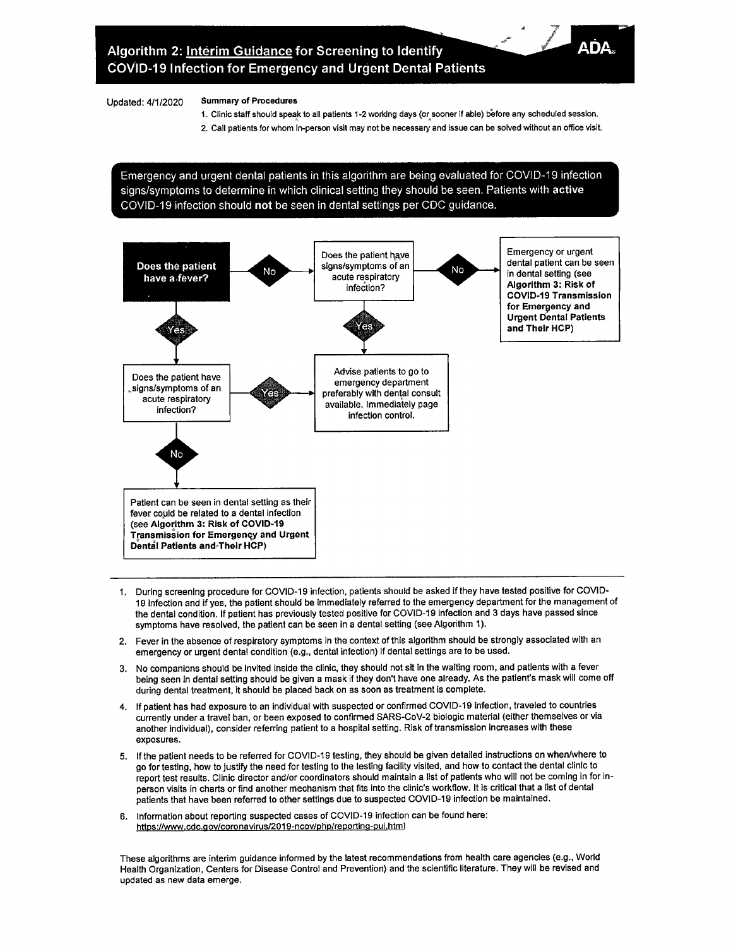## Updated: 4/1/2020 Summary of Procedures

- 1. Clinic staff should speak to all patients 1-2 working days (or sooner if able) before any scheduled session.
- 2. Call patients for whom in-person visit may not be necessary and issue can be solved without an office visit.

Emergency and urgent dental patients in this algorithm are being evaluated for COVID-19 infection signs/symptoms to determine in which clinical setting they should be seen. Patients with active COVID-19 infection should not be seen in dental settings per CDC quidance.



- 1. During screening procedure for COVID-19 infection, patients should be asked if they have tested positive for COVID-19 infection and if yes, the patient should be immediately referred to the emergency department for the management of the dental condition. If patient has previously tested positive for COVID-19 infection and 3 days have passed since symptoms have resolved, the patient can be seen in a dental setting (see Algorithm 1).
- 2. Fever in the absence of respiratory symptoms in the context of this algorithm should be strongly associated with an emergency or urgent dental condition (e.g., dental infection) if dental settings are to be used.
- 3. No companions should be invited inside the clinic, they should not sit in the waiting room, and patients with a fever being seen in dental setting should be given a mask if they don't have one already. As the patient's mask will come off during dental treatment, it should be placed back on as soon as treatment is complete.
- 4. If patient has had exposure to an individual with suspected or confirmed COVID-19 infection, traveled to countries currently under a travel ban, or been exposed to confirmed SARS-CoV-2 biologic material (either themselves or via another individual), consider referring patient to a hospital setting. Risk of transmission increases with these exposures.
- 5. If the patient needs to be referred for COVID-19 testing, they should be given detailed instructions on when/where to go fortesting, how to justify the need for testing to the testing facility visited, and how to contact the dental clinic to report test results. Clinic director and/or coordinators should maintain a list of patients who will not be coming in for inperson visits in charts or find another mechanism that fits into the clinic's workflow. It is critical that a list of dental patients that have been referred to other settings due to suspected COVID-19 infection be maintained.
- **6. Information about reporting suspected cases of COVID-19 infection can be found here:** https://www.cdc.gov/coronavirus/2019-ncov/php/reporting-pui.html

These algorithms are interim guidance informed by the latest recommendations from health care agencies (e.g., World Health Organization, Centers for Disease Control and Prevention) and the scientific literature. They will be revised and updated as new data emerge.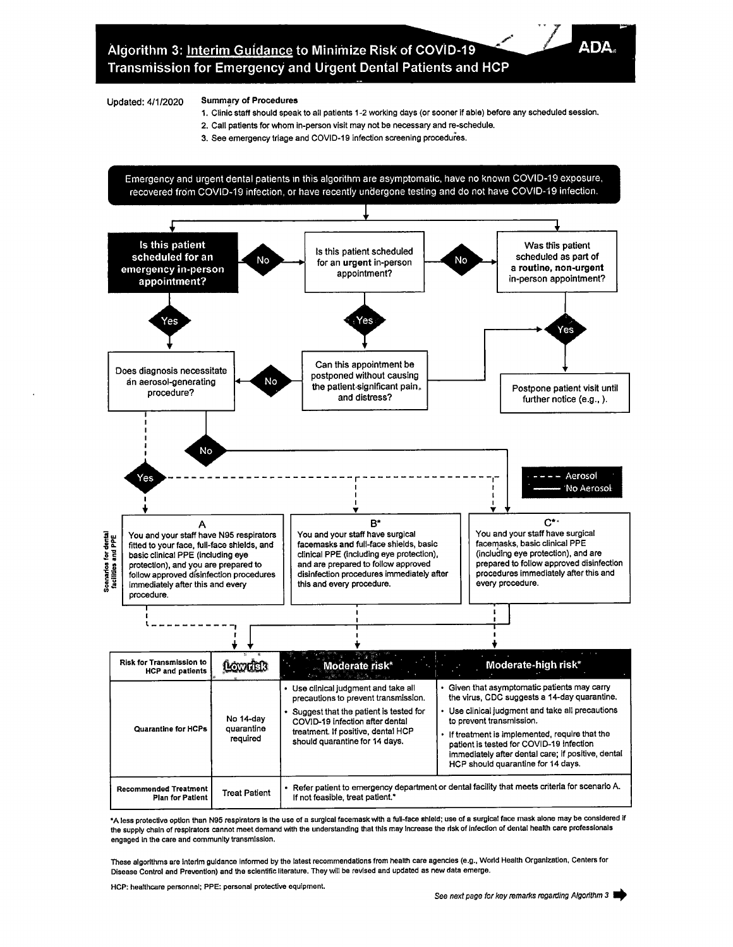## Updated: 4/1/2020 Summary of Procedures

1. Clinic staff should speak to all patients <sup>1</sup> -2 working days (or sooner if able) before any scheduled session.

**ADA,**

- 2. Call patients for whom in-person visit may not be necessary and re-schedule.
- 3. See emergency triage and COVID-19 infection screening procedures.

Emergency and urgent dental patients in this algorithm are asymptomatic, have no known COVID-19 exposure, recovered from COVID-19 infection, or have recently undergone testing and do not have COVID-19 infection.



\*A less protective option than N95 respirators is the use of a surgical facemask with a full-face shield; use of a surgical face mask alone may be considered if the supply chain of respirators cannot meet demand with the understanding that this may increase the risk of infection of dental health care professionals **engaged in the care and community transmission.**

These algorithms are interim guidance informed by the latest recommendations from health care agencies (e.g., World Health Organization, Centers for Disease Control and Prevention) and the scientific literature. They will be revised and updated as new data emerge.

**HCP: healthcare personnel; PPE: personal protective equipment.**